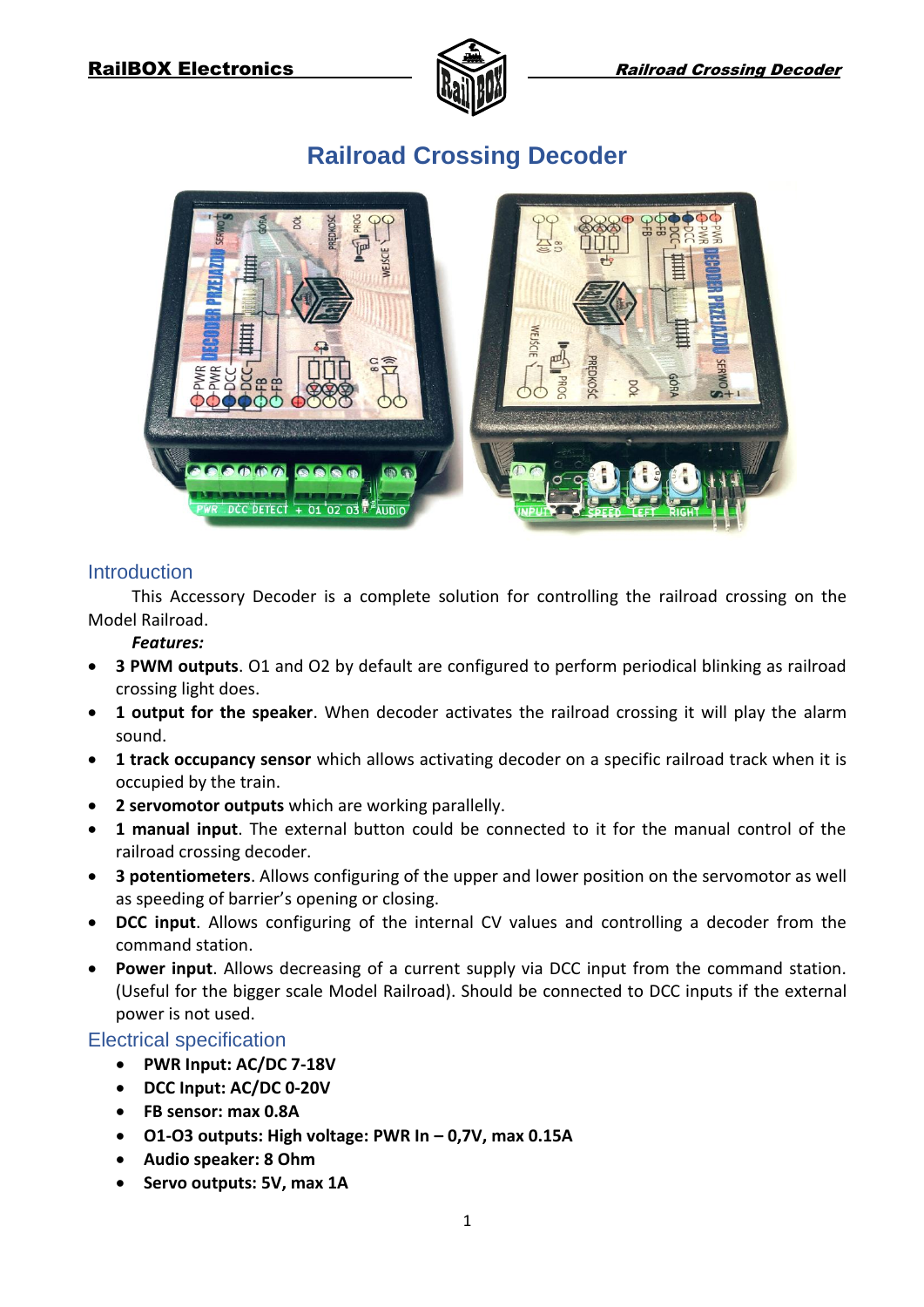

# 01 02 03 AUDIO C DETEC

# **Railroad Crossing Decoder**

#### **Introduction**

This Accessory Decoder is a complete solution for controlling the railroad crossing on the Model Railroad.

#### *Features:*

- **3 PWM outputs**. O1 and O2 by default are configured to perform periodical blinking as railroad crossing light does.
- **1 output for the speaker**. When decoder activates the railroad crossing it will play the alarm sound.
- **1 track occupancy sensor** which allows activating decoder on a specific railroad track when it is occupied by the train.
- **2 servomotor outputs** which are working parallelly.
- **1 manual input**. The external button could be connected to it for the manual control of the railroad crossing decoder.
- **3 potentiometers**. Allows configuring of the upper and lower position on the servomotor as well as speeding of barrier's opening or closing.
- **DCC input**. Allows configuring of the internal CV values and controlling a decoder from the command station.
- **Power input**. Allows decreasing of a current supply via DCC input from the command station. (Useful for the bigger scale Model Railroad). Should be connected to DCC inputs if the external power is not used.

#### Electrical specification

- **PWR Input: AC/DC 7-18V**
- **DCC Input: AC/DC 0-20V**
- **FB sensor: max 0.8A**
- **O1-O3 outputs: High voltage: PWR In – 0,7V, max 0.15A**
- **Audio speaker: 8 Ohm**
- **•** Servo outputs: 5V, max 1A